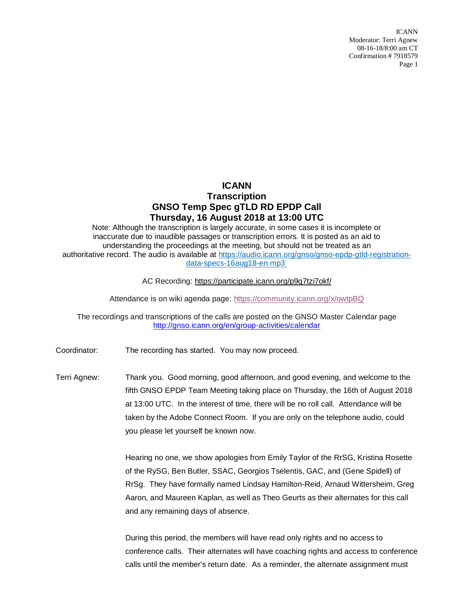ICANN Moderator: Terri Agnew 08-16-18/8:00 am CT Confirmation # 7918579 Page 1

## **ICANN Transcription GNSO Temp Spec gTLD RD EPDP Call Thursday, 16 August 2018 at 13:00 UTC**

Note: Although the transcription is largely accurate, in some cases it is incomplete or inaccurate due to inaudible passages or transcription errors. It is posted as an aid to understanding the proceedings at the meeting, but should not be treated as an authoritative record. The audio is available at [https://audio.icann.org/gnso/gnso-epdp-gtld-registration](https://urldefense.proofpoint.com/v2/url?u=https-3A__audio.icann.org_gnso_gnso-2Depdp-2Dgtld-2Dregistration-2Ddata-2Dspecs-2D16aug18-2Den.mp3&d=DwMFaQ&c=FmY1u3PJp6wrcrwll3mSVzgfkbPSS6sJms7xcl4I5cM&r=k7uKdjSb7_ZjItyVqrCYHo_rKms9SFxlmbYEJqG-y9I&m=x9q4jk2nlJIS4MR7jGe6omQoFh39e9sYtiYBrkbGF2E&s=myndpjlSzIo24KLJ0u38fYKF3-l-jkZfCYXmSdhd35s&e=)[data-specs-16aug18-en.mp3](https://urldefense.proofpoint.com/v2/url?u=https-3A__audio.icann.org_gnso_gnso-2Depdp-2Dgtld-2Dregistration-2Ddata-2Dspecs-2D16aug18-2Den.mp3&d=DwMFaQ&c=FmY1u3PJp6wrcrwll3mSVzgfkbPSS6sJms7xcl4I5cM&r=k7uKdjSb7_ZjItyVqrCYHo_rKms9SFxlmbYEJqG-y9I&m=x9q4jk2nlJIS4MR7jGe6omQoFh39e9sYtiYBrkbGF2E&s=myndpjlSzIo24KLJ0u38fYKF3-l-jkZfCYXmSdhd35s&e=)

AC Recording: [https://participate.icann.org/p9q7tzi7okf/](https://participate.icann.org/p9q7tzi7okf/?OWASP_CSRFTOKEN=e491c17805cccb722101d3a34d85ce7ac82ee4c0a037b71c6bab038a1ad4fd1f)

Attendance is on wiki agenda page:<https://community.icann.org/x/owtpBQ>

The recordings and transcriptions of the calls are posted on the GNSO Master Calendar page <http://gnso.icann.org/en/group-activities/calendar>

Coordinator: The recording has started. You may now proceed.

Terri Agnew: Thank you. Good morning, good afternoon, and good evening, and welcome to the fifth GNSO EPDP Team Meeting taking place on Thursday, the 16th of August 2018 at 13:00 UTC. In the interest of time, there will be no roll call. Attendance will be taken by the Adobe Connect Room. If you are only on the telephone audio, could you please let yourself be known now.

> Hearing no one, we show apologies from Emily Taylor of the RrSG, Kristina Rosette of the RySG, Ben Butler, SSAC, Georgios Tselentis, GAC, and (Gene Spidell) of RrSg. They have formally named Lindsay Hamilton-Reid, Arnaud Wittersheim, Greg Aaron, and Maureen Kaplan, as well as Theo Geurts as their alternates for this call and any remaining days of absence.

> During this period, the members will have read only rights and no access to conference calls. Their alternates will have coaching rights and access to conference calls until the member's return date. As a reminder, the alternate assignment must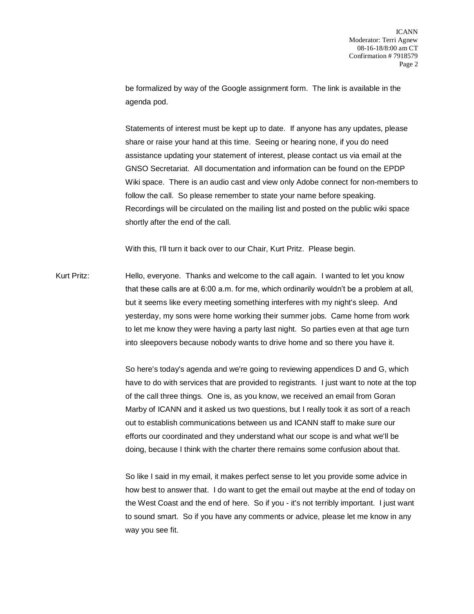be formalized by way of the Google assignment form. The link is available in the agenda pod.

Statements of interest must be kept up to date. If anyone has any updates, please share or raise your hand at this time. Seeing or hearing none, if you do need assistance updating your statement of interest, please contact us via email at the GNSO Secretariat. All documentation and information can be found on the EPDP Wiki space. There is an audio cast and view only Adobe connect for non-members to follow the call. So please remember to state your name before speaking. Recordings will be circulated on the mailing list and posted on the public wiki space shortly after the end of the call.

With this, I'll turn it back over to our Chair, Kurt Pritz. Please begin.

Kurt Pritz: Hello, everyone. Thanks and welcome to the call again. I wanted to let you know that these calls are at 6:00 a.m. for me, which ordinarily wouldn't be a problem at all, but it seems like every meeting something interferes with my night's sleep. And yesterday, my sons were home working their summer jobs. Came home from work to let me know they were having a party last night. So parties even at that age turn into sleepovers because nobody wants to drive home and so there you have it.

> So here's today's agenda and we're going to reviewing appendices D and G, which have to do with services that are provided to registrants. I just want to note at the top of the call three things. One is, as you know, we received an email from Goran Marby of ICANN and it asked us two questions, but I really took it as sort of a reach out to establish communications between us and ICANN staff to make sure our efforts our coordinated and they understand what our scope is and what we'll be doing, because I think with the charter there remains some confusion about that.

> So like I said in my email, it makes perfect sense to let you provide some advice in how best to answer that. I do want to get the email out maybe at the end of today on the West Coast and the end of here. So if you - it's not terribly important. I just want to sound smart. So if you have any comments or advice, please let me know in any way you see fit.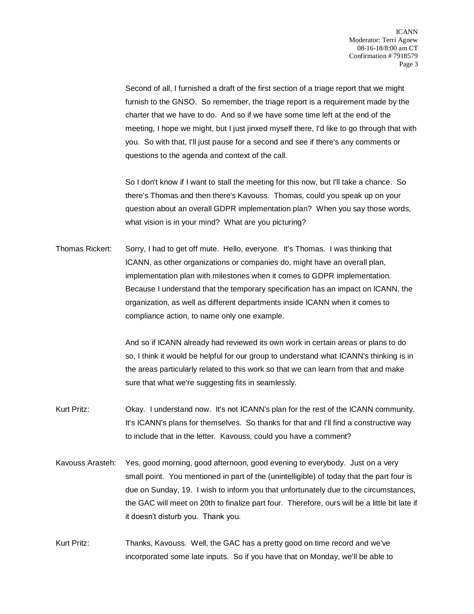Second of all, I furnished a draft of the first section of a triage report that we might furnish to the GNSO. So remember, the triage report is a requirement made by the charter that we have to do. And so if we have some time left at the end of the meeting, I hope we might, but I just jinxed myself there, I'd like to go through that with you. So with that, I'll just pause for a second and see if there's any comments or questions to the agenda and context of the call.

So I don't know if I want to stall the meeting for this now, but I'll take a chance. So there's Thomas and then there's Kavouss. Thomas, could you speak up on your question about an overall GDPR implementation plan? When you say those words, what vision is in your mind? What are you picturing?

Thomas Rickert: Sorry, I had to get off mute. Hello, everyone. It's Thomas. I was thinking that ICANN, as other organizations or companies do, might have an overall plan, implementation plan with milestones when it comes to GDPR implementation. Because I understand that the temporary specification has an impact on ICANN, the organization, as well as different departments inside ICANN when it comes to compliance action, to name only one example.

> And so if ICANN already had reviewed its own work in certain areas or plans to do so, I think it would be helpful for our group to understand what ICANN's thinking is in the areas particularly related to this work so that we can learn from that and make sure that what we're suggesting fits in seamlessly.

- Kurt Pritz: Okay. I understand now. It's not ICANN's plan for the rest of the ICANN community. It's ICANN's plans for themselves. So thanks for that and I'll find a constructive way to include that in the letter. Kavouss, could you have a comment?
- Kavouss Arasteh: Yes, good morning, good afternoon, good evening to everybody. Just on a very small point. You mentioned in part of the (unintelligible) of today that the part four is due on Sunday, 19. I wish to inform you that unfortunately due to the circumstances, the GAC will meet on 20th to finalize part four. Therefore, ours will be a little bit late if it doesn't disturb you. Thank you.
- Kurt Pritz: Thanks, Kavouss. Well, the GAC has a pretty good on time record and we've incorporated some late inputs. So if you have that on Monday, we'll be able to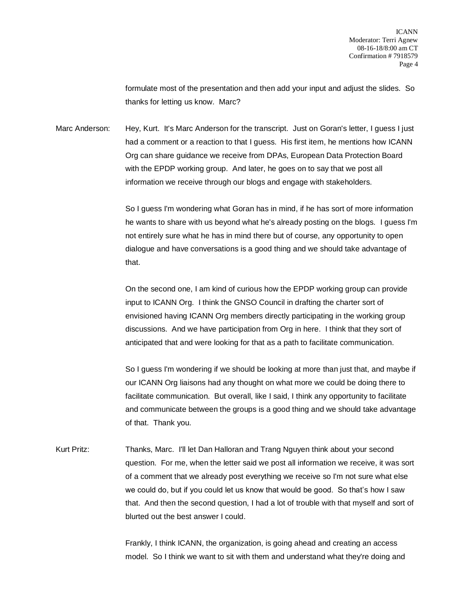formulate most of the presentation and then add your input and adjust the slides. So thanks for letting us know. Marc?

Marc Anderson: Hey, Kurt. It's Marc Anderson for the transcript. Just on Goran's letter, I guess I just had a comment or a reaction to that I guess. His first item, he mentions how ICANN Org can share guidance we receive from DPAs, European Data Protection Board with the EPDP working group. And later, he goes on to say that we post all information we receive through our blogs and engage with stakeholders.

> So I guess I'm wondering what Goran has in mind, if he has sort of more information he wants to share with us beyond what he's already posting on the blogs. I guess I'm not entirely sure what he has in mind there but of course, any opportunity to open dialogue and have conversations is a good thing and we should take advantage of that.

On the second one, I am kind of curious how the EPDP working group can provide input to ICANN Org. I think the GNSO Council in drafting the charter sort of envisioned having ICANN Org members directly participating in the working group discussions. And we have participation from Org in here. I think that they sort of anticipated that and were looking for that as a path to facilitate communication.

So I guess I'm wondering if we should be looking at more than just that, and maybe if our ICANN Org liaisons had any thought on what more we could be doing there to facilitate communication. But overall, like I said, I think any opportunity to facilitate and communicate between the groups is a good thing and we should take advantage of that. Thank you.

Kurt Pritz: Thanks, Marc. I'll let Dan Halloran and Trang Nguyen think about your second question. For me, when the letter said we post all information we receive, it was sort of a comment that we already post everything we receive so I'm not sure what else we could do, but if you could let us know that would be good. So that's how I saw that. And then the second question, I had a lot of trouble with that myself and sort of blurted out the best answer I could.

> Frankly, I think ICANN, the organization, is going ahead and creating an access model. So I think we want to sit with them and understand what they're doing and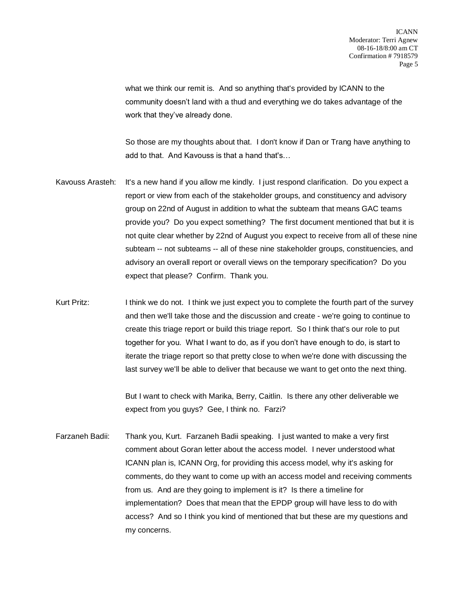what we think our remit is. And so anything that's provided by ICANN to the community doesn't land with a thud and everything we do takes advantage of the work that they've already done.

So those are my thoughts about that. I don't know if Dan or Trang have anything to add to that. And Kavouss is that a hand that's…

- Kavouss Arasteh: It's a new hand if you allow me kindly. I just respond clarification. Do you expect a report or view from each of the stakeholder groups, and constituency and advisory group on 22nd of August in addition to what the subteam that means GAC teams provide you? Do you expect something? The first document mentioned that but it is not quite clear whether by 22nd of August you expect to receive from all of these nine subteam -- not subteams -- all of these nine stakeholder groups, constituencies, and advisory an overall report or overall views on the temporary specification? Do you expect that please? Confirm. Thank you.
- Kurt Pritz: I think we do not. I think we just expect you to complete the fourth part of the survey and then we'll take those and the discussion and create - we're going to continue to create this triage report or build this triage report. So I think that's our role to put together for you. What I want to do, as if you don't have enough to do, is start to iterate the triage report so that pretty close to when we're done with discussing the last survey we'll be able to deliver that because we want to get onto the next thing.

But I want to check with Marika, Berry, Caitlin. Is there any other deliverable we expect from you guys? Gee, I think no. Farzi?

Farzaneh Badii: Thank you, Kurt. Farzaneh Badii speaking. I just wanted to make a very first comment about Goran letter about the access model. I never understood what ICANN plan is, ICANN Org, for providing this access model, why it's asking for comments, do they want to come up with an access model and receiving comments from us. And are they going to implement is it? Is there a timeline for implementation? Does that mean that the EPDP group will have less to do with access? And so I think you kind of mentioned that but these are my questions and my concerns.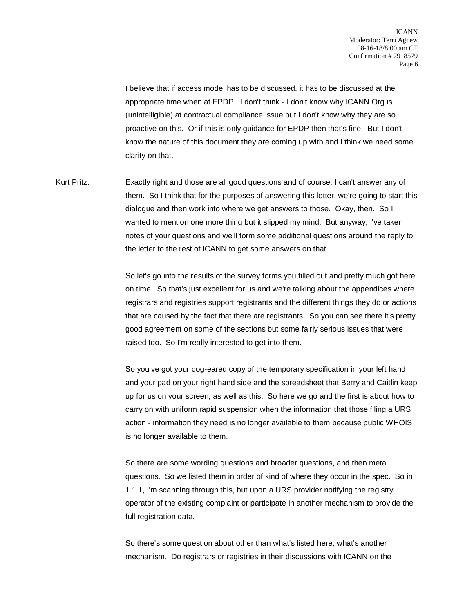I believe that if access model has to be discussed, it has to be discussed at the appropriate time when at EPDP. I don't think - I don't know why ICANN Org is (unintelligible) at contractual compliance issue but I don't know why they are so proactive on this. Or if this is only guidance for EPDP then that's fine. But I don't know the nature of this document they are coming up with and I think we need some clarity on that.

Kurt Pritz: Exactly right and those are all good questions and of course, I can't answer any of them. So I think that for the purposes of answering this letter, we're going to start this dialogue and then work into where we get answers to those. Okay, then. So I wanted to mention one more thing but it slipped my mind. But anyway, I've taken notes of your questions and we'll form some additional questions around the reply to the letter to the rest of ICANN to get some answers on that.

> So let's go into the results of the survey forms you filled out and pretty much got here on time. So that's just excellent for us and we're talking about the appendices where registrars and registries support registrants and the different things they do or actions that are caused by the fact that there are registrants. So you can see there it's pretty good agreement on some of the sections but some fairly serious issues that were raised too. So I'm really interested to get into them.

> So you've got your dog-eared copy of the temporary specification in your left hand and your pad on your right hand side and the spreadsheet that Berry and Caitlin keep up for us on your screen, as well as this. So here we go and the first is about how to carry on with uniform rapid suspension when the information that those filing a URS action - information they need is no longer available to them because public WHOIS is no longer available to them.

So there are some wording questions and broader questions, and then meta questions. So we listed them in order of kind of where they occur in the spec. So in 1.1.1, I'm scanning through this, but upon a URS provider notifying the registry operator of the existing complaint or participate in another mechanism to provide the full registration data.

So there's some question about other than what's listed here, what's another mechanism. Do registrars or registries in their discussions with ICANN on the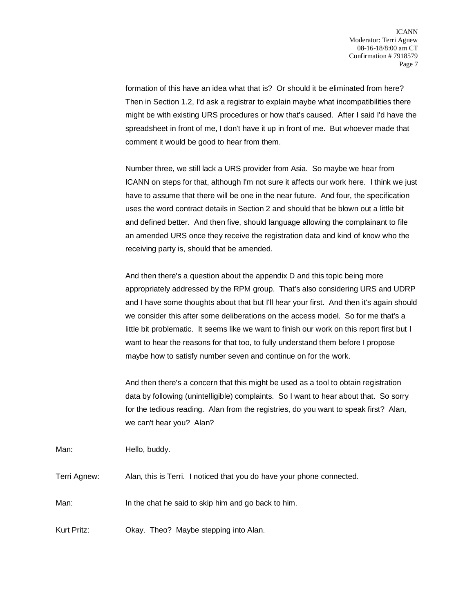formation of this have an idea what that is? Or should it be eliminated from here? Then in Section 1.2, I'd ask a registrar to explain maybe what incompatibilities there might be with existing URS procedures or how that's caused. After I said I'd have the spreadsheet in front of me, I don't have it up in front of me. But whoever made that comment it would be good to hear from them.

Number three, we still lack a URS provider from Asia. So maybe we hear from ICANN on steps for that, although I'm not sure it affects our work here. I think we just have to assume that there will be one in the near future. And four, the specification uses the word contract details in Section 2 and should that be blown out a little bit and defined better. And then five, should language allowing the complainant to file an amended URS once they receive the registration data and kind of know who the receiving party is, should that be amended.

And then there's a question about the appendix D and this topic being more appropriately addressed by the RPM group. That's also considering URS and UDRP and I have some thoughts about that but I'll hear your first. And then it's again should we consider this after some deliberations on the access model. So for me that's a little bit problematic. It seems like we want to finish our work on this report first but I want to hear the reasons for that too, to fully understand them before I propose maybe how to satisfy number seven and continue on for the work.

And then there's a concern that this might be used as a tool to obtain registration data by following (unintelligible) complaints. So I want to hear about that. So sorry for the tedious reading. Alan from the registries, do you want to speak first? Alan, we can't hear you? Alan?

Man: Hello, buddy.

Terri Agnew: Alan, this is Terri. I noticed that you do have your phone connected.

Man: In the chat he said to skip him and go back to him.

Kurt Pritz: Okay. Theo? Maybe stepping into Alan.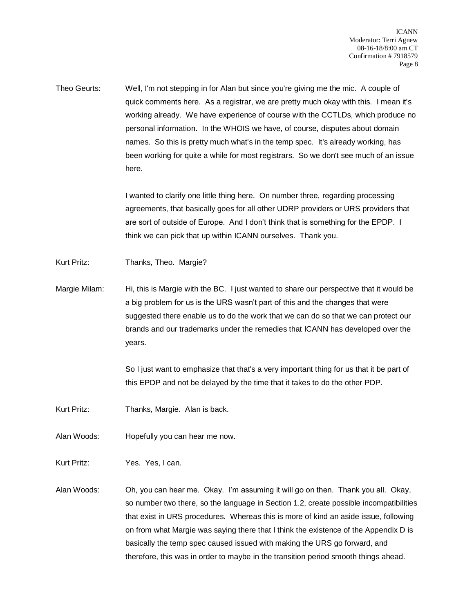Theo Geurts: Well, I'm not stepping in for Alan but since you're giving me the mic. A couple of quick comments here. As a registrar, we are pretty much okay with this. I mean it's working already. We have experience of course with the CCTLDs, which produce no personal information. In the WHOIS we have, of course, disputes about domain names. So this is pretty much what's in the temp spec. It's already working, has been working for quite a while for most registrars. So we don't see much of an issue here.

> I wanted to clarify one little thing here. On number three, regarding processing agreements, that basically goes for all other UDRP providers or URS providers that are sort of outside of Europe. And I don't think that is something for the EPDP. I think we can pick that up within ICANN ourselves. Thank you.

Kurt Pritz: Thanks, Theo. Margie?

Margie Milam: Hi, this is Margie with the BC. I just wanted to share our perspective that it would be a big problem for us is the URS wasn't part of this and the changes that were suggested there enable us to do the work that we can do so that we can protect our brands and our trademarks under the remedies that ICANN has developed over the years.

> So I just want to emphasize that that's a very important thing for us that it be part of this EPDP and not be delayed by the time that it takes to do the other PDP.

- Kurt Pritz: Thanks, Margie. Alan is back.
- Alan Woods: Hopefully you can hear me now.

Kurt Pritz: Yes. Yes, I can.

Alan Woods: Oh, you can hear me. Okay. I'm assuming it will go on then. Thank you all. Okay, so number two there, so the language in Section 1.2, create possible incompatibilities that exist in URS procedures. Whereas this is more of kind an aside issue, following on from what Margie was saying there that I think the existence of the Appendix D is basically the temp spec caused issued with making the URS go forward, and therefore, this was in order to maybe in the transition period smooth things ahead.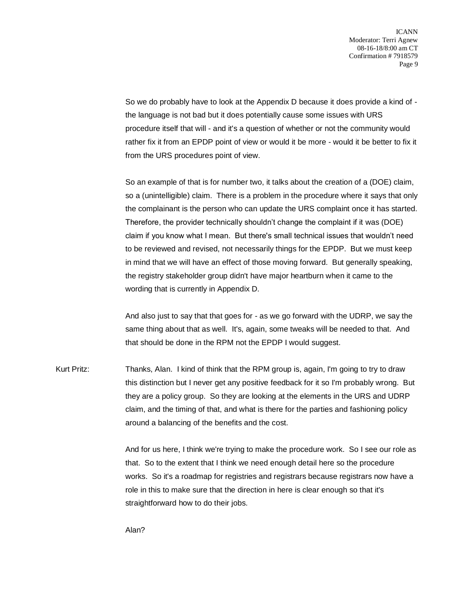So we do probably have to look at the Appendix D because it does provide a kind of the language is not bad but it does potentially cause some issues with URS procedure itself that will - and it's a question of whether or not the community would rather fix it from an EPDP point of view or would it be more - would it be better to fix it from the URS procedures point of view.

So an example of that is for number two, it talks about the creation of a (DOE) claim, so a (unintelligible) claim. There is a problem in the procedure where it says that only the complainant is the person who can update the URS complaint once it has started. Therefore, the provider technically shouldn't change the complaint if it was (DOE) claim if you know what I mean. But there's small technical issues that wouldn't need to be reviewed and revised, not necessarily things for the EPDP. But we must keep in mind that we will have an effect of those moving forward. But generally speaking, the registry stakeholder group didn't have major heartburn when it came to the wording that is currently in Appendix D.

And also just to say that that goes for - as we go forward with the UDRP, we say the same thing about that as well. It's, again, some tweaks will be needed to that. And that should be done in the RPM not the EPDP I would suggest.

Kurt Pritz: Thanks, Alan. I kind of think that the RPM group is, again, I'm going to try to draw this distinction but I never get any positive feedback for it so I'm probably wrong. But they are a policy group. So they are looking at the elements in the URS and UDRP claim, and the timing of that, and what is there for the parties and fashioning policy around a balancing of the benefits and the cost.

> And for us here, I think we're trying to make the procedure work. So I see our role as that. So to the extent that I think we need enough detail here so the procedure works. So it's a roadmap for registries and registrars because registrars now have a role in this to make sure that the direction in here is clear enough so that it's straightforward how to do their jobs.

Alan?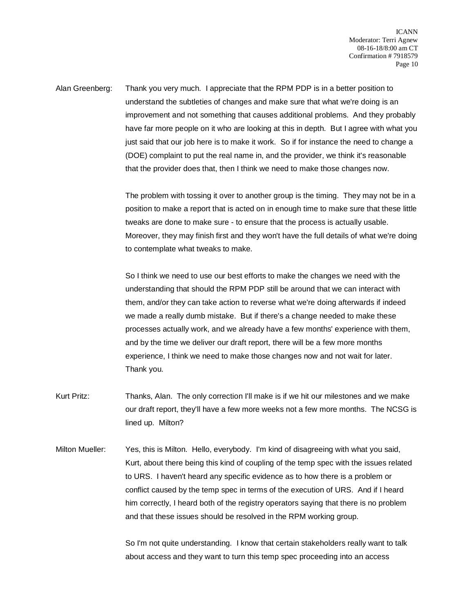Alan Greenberg: Thank you very much. I appreciate that the RPM PDP is in a better position to understand the subtleties of changes and make sure that what we're doing is an improvement and not something that causes additional problems. And they probably have far more people on it who are looking at this in depth. But I agree with what you just said that our job here is to make it work. So if for instance the need to change a (DOE) complaint to put the real name in, and the provider, we think it's reasonable that the provider does that, then I think we need to make those changes now.

> The problem with tossing it over to another group is the timing. They may not be in a position to make a report that is acted on in enough time to make sure that these little tweaks are done to make sure - to ensure that the process is actually usable. Moreover, they may finish first and they won't have the full details of what we're doing to contemplate what tweaks to make.

So I think we need to use our best efforts to make the changes we need with the understanding that should the RPM PDP still be around that we can interact with them, and/or they can take action to reverse what we're doing afterwards if indeed we made a really dumb mistake. But if there's a change needed to make these processes actually work, and we already have a few months' experience with them, and by the time we deliver our draft report, there will be a few more months experience, I think we need to make those changes now and not wait for later. Thank you.

- Kurt Pritz: Thanks, Alan. The only correction I'll make is if we hit our milestones and we make our draft report, they'll have a few more weeks not a few more months. The NCSG is lined up. Milton?
- Milton Mueller: Yes, this is Milton. Hello, everybody. I'm kind of disagreeing with what you said, Kurt, about there being this kind of coupling of the temp spec with the issues related to URS. I haven't heard any specific evidence as to how there is a problem or conflict caused by the temp spec in terms of the execution of URS. And if I heard him correctly, I heard both of the registry operators saying that there is no problem and that these issues should be resolved in the RPM working group.

So I'm not quite understanding. I know that certain stakeholders really want to talk about access and they want to turn this temp spec proceeding into an access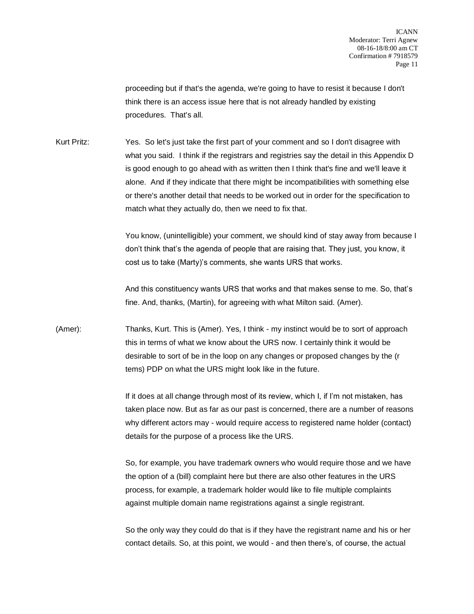proceeding but if that's the agenda, we're going to have to resist it because I don't think there is an access issue here that is not already handled by existing procedures. That's all.

Kurt Pritz: Yes. So let's just take the first part of your comment and so I don't disagree with what you said. I think if the registrars and registries say the detail in this Appendix D is good enough to go ahead with as written then I think that's fine and we'll leave it alone. And if they indicate that there might be incompatibilities with something else or there's another detail that needs to be worked out in order for the specification to match what they actually do, then we need to fix that.

> You know, (unintelligible) your comment, we should kind of stay away from because I don't think that's the agenda of people that are raising that. They just, you know, it cost us to take (Marty)'s comments, she wants URS that works.

And this constituency wants URS that works and that makes sense to me. So, that's fine. And, thanks, (Martin), for agreeing with what Milton said. (Amer).

(Amer): Thanks, Kurt. This is (Amer). Yes, I think - my instinct would be to sort of approach this in terms of what we know about the URS now. I certainly think it would be desirable to sort of be in the loop on any changes or proposed changes by the (r tems) PDP on what the URS might look like in the future.

> If it does at all change through most of its review, which I, if I'm not mistaken, has taken place now. But as far as our past is concerned, there are a number of reasons why different actors may - would require access to registered name holder (contact) details for the purpose of a process like the URS.

> So, for example, you have trademark owners who would require those and we have the option of a (bill) complaint here but there are also other features in the URS process, for example, a trademark holder would like to file multiple complaints against multiple domain name registrations against a single registrant.

> So the only way they could do that is if they have the registrant name and his or her contact details. So, at this point, we would - and then there's, of course, the actual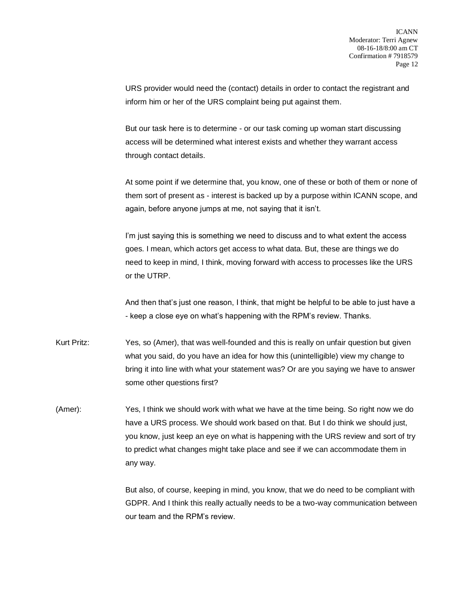URS provider would need the (contact) details in order to contact the registrant and inform him or her of the URS complaint being put against them.

But our task here is to determine - or our task coming up woman start discussing access will be determined what interest exists and whether they warrant access through contact details.

At some point if we determine that, you know, one of these or both of them or none of them sort of present as - interest is backed up by a purpose within ICANN scope, and again, before anyone jumps at me, not saying that it isn't.

I'm just saying this is something we need to discuss and to what extent the access goes. I mean, which actors get access to what data. But, these are things we do need to keep in mind, I think, moving forward with access to processes like the URS or the UTRP.

And then that's just one reason, I think, that might be helpful to be able to just have a - keep a close eye on what's happening with the RPM's review. Thanks.

- Kurt Pritz: Yes, so (Amer), that was well-founded and this is really on unfair question but given what you said, do you have an idea for how this (unintelligible) view my change to bring it into line with what your statement was? Or are you saying we have to answer some other questions first?
- (Amer): Yes, I think we should work with what we have at the time being. So right now we do have a URS process. We should work based on that. But I do think we should just, you know, just keep an eye on what is happening with the URS review and sort of try to predict what changes might take place and see if we can accommodate them in any way.

But also, of course, keeping in mind, you know, that we do need to be compliant with GDPR. And I think this really actually needs to be a two-way communication between our team and the RPM's review.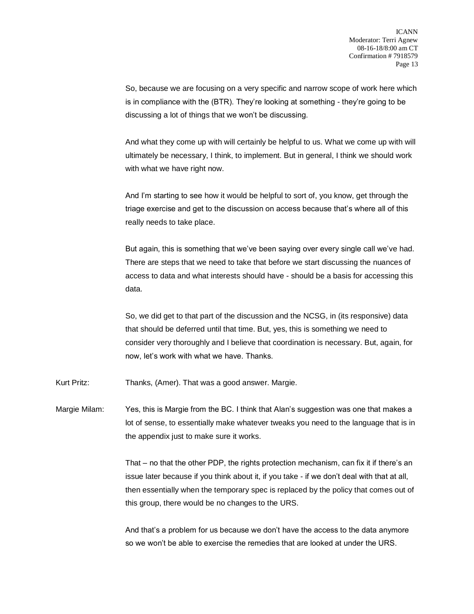So, because we are focusing on a very specific and narrow scope of work here which is in compliance with the (BTR). They're looking at something - they're going to be discussing a lot of things that we won't be discussing.

And what they come up with will certainly be helpful to us. What we come up with will ultimately be necessary, I think, to implement. But in general, I think we should work with what we have right now.

And I'm starting to see how it would be helpful to sort of, you know, get through the triage exercise and get to the discussion on access because that's where all of this really needs to take place.

But again, this is something that we've been saying over every single call we've had. There are steps that we need to take that before we start discussing the nuances of access to data and what interests should have - should be a basis for accessing this data.

So, we did get to that part of the discussion and the NCSG, in (its responsive) data that should be deferred until that time. But, yes, this is something we need to consider very thoroughly and I believe that coordination is necessary. But, again, for now, let's work with what we have. Thanks.

Kurt Pritz: Thanks, (Amer). That was a good answer. Margie.

Margie Milam: Yes, this is Margie from the BC. I think that Alan's suggestion was one that makes a lot of sense, to essentially make whatever tweaks you need to the language that is in the appendix just to make sure it works.

> That – no that the other PDP, the rights protection mechanism, can fix it if there's an issue later because if you think about it, if you take - if we don't deal with that at all, then essentially when the temporary spec is replaced by the policy that comes out of this group, there would be no changes to the URS.

And that's a problem for us because we don't have the access to the data anymore so we won't be able to exercise the remedies that are looked at under the URS.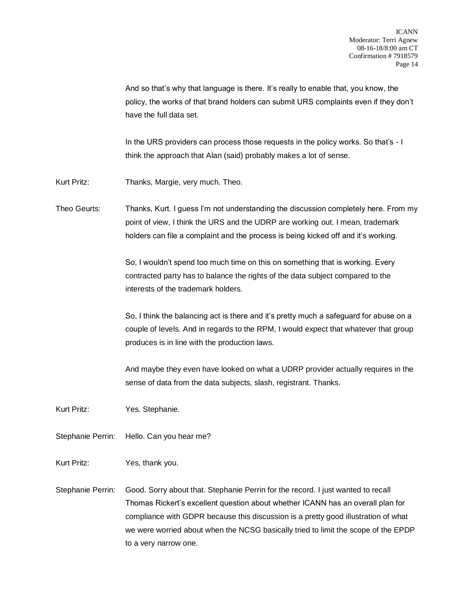And so that's why that language is there. It's really to enable that, you know, the policy, the works of that brand holders can submit URS complaints even if they don't have the full data set.

In the URS providers can process those requests in the policy works. So that's - I think the approach that Alan (said) probably makes a lot of sense.

Kurt Pritz: Thanks, Margie, very much. Theo.

Theo Geurts: Thanks, Kurt. I guess I'm not understanding the discussion completely here. From my point of view, I think the URS and the UDRP are working out. I mean, trademark holders can file a complaint and the process is being kicked off and it's working.

> So, I wouldn't spend too much time on this on something that is working. Every contracted party has to balance the rights of the data subject compared to the interests of the trademark holders.

So, I think the balancing act is there and it's pretty much a safeguard for abuse on a couple of levels. And in regards to the RPM, I would expect that whatever that group produces is in line with the production laws.

And maybe they even have looked on what a UDRP provider actually requires in the sense of data from the data subjects, slash, registrant. Thanks.

- Kurt Pritz: Yes. Stephanie.
- Stephanie Perrin: Hello. Can you hear me?
- Kurt Pritz: Yes, thank you.
- Stephanie Perrin: Good. Sorry about that. Stephanie Perrin for the record. I just wanted to recall Thomas Rickert's excellent question about whether ICANN has an overall plan for compliance with GDPR because this discussion is a pretty good illustration of what we were worried about when the NCSG basically tried to limit the scope of the EPDP to a very narrow one.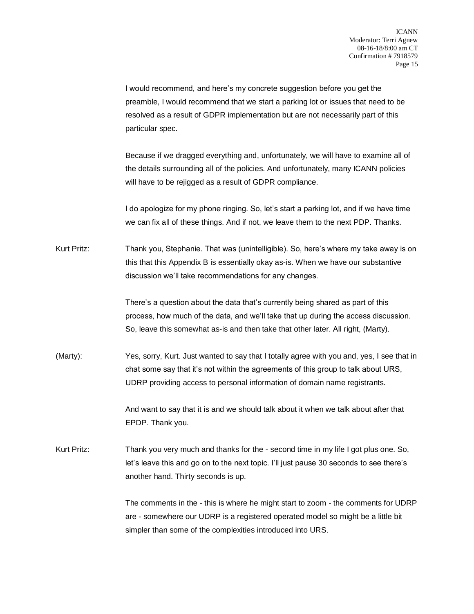I would recommend, and here's my concrete suggestion before you get the preamble, I would recommend that we start a parking lot or issues that need to be resolved as a result of GDPR implementation but are not necessarily part of this particular spec.

Because if we dragged everything and, unfortunately, we will have to examine all of the details surrounding all of the policies. And unfortunately, many ICANN policies will have to be rejigged as a result of GDPR compliance.

I do apologize for my phone ringing. So, let's start a parking lot, and if we have time we can fix all of these things. And if not, we leave them to the next PDP. Thanks.

Kurt Pritz: Thank you, Stephanie. That was (unintelligible). So, here's where my take away is on this that this Appendix B is essentially okay as-is. When we have our substantive discussion we'll take recommendations for any changes.

> There's a question about the data that's currently being shared as part of this process, how much of the data, and we'll take that up during the access discussion. So, leave this somewhat as-is and then take that other later. All right, (Marty).

(Marty): Yes, sorry, Kurt. Just wanted to say that I totally agree with you and, yes, I see that in chat some say that it's not within the agreements of this group to talk about URS, UDRP providing access to personal information of domain name registrants.

> And want to say that it is and we should talk about it when we talk about after that EPDP. Thank you.

Kurt Pritz: Thank you very much and thanks for the - second time in my life I got plus one. So, let's leave this and go on to the next topic. I'll just pause 30 seconds to see there's another hand. Thirty seconds is up.

> The comments in the - this is where he might start to zoom - the comments for UDRP are - somewhere our UDRP is a registered operated model so might be a little bit simpler than some of the complexities introduced into URS.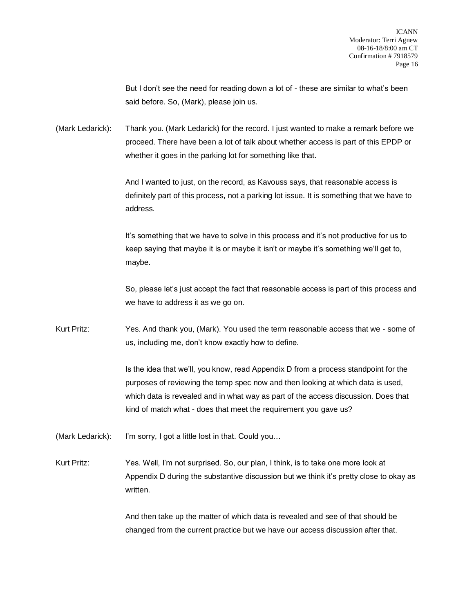But I don't see the need for reading down a lot of - these are similar to what's been said before. So, (Mark), please join us.

(Mark Ledarick): Thank you. (Mark Ledarick) for the record. I just wanted to make a remark before we proceed. There have been a lot of talk about whether access is part of this EPDP or whether it goes in the parking lot for something like that.

> And I wanted to just, on the record, as Kavouss says, that reasonable access is definitely part of this process, not a parking lot issue. It is something that we have to address.

It's something that we have to solve in this process and it's not productive for us to keep saying that maybe it is or maybe it isn't or maybe it's something we'll get to, maybe.

So, please let's just accept the fact that reasonable access is part of this process and we have to address it as we go on.

Kurt Pritz: Yes. And thank you, (Mark). You used the term reasonable access that we - some of us, including me, don't know exactly how to define.

> Is the idea that we'll, you know, read Appendix D from a process standpoint for the purposes of reviewing the temp spec now and then looking at which data is used, which data is revealed and in what way as part of the access discussion. Does that kind of match what - does that meet the requirement you gave us?

(Mark Ledarick): I'm sorry, I got a little lost in that. Could you…

Kurt Pritz: Yes. Well, I'm not surprised. So, our plan, I think, is to take one more look at Appendix D during the substantive discussion but we think it's pretty close to okay as written.

> And then take up the matter of which data is revealed and see of that should be changed from the current practice but we have our access discussion after that.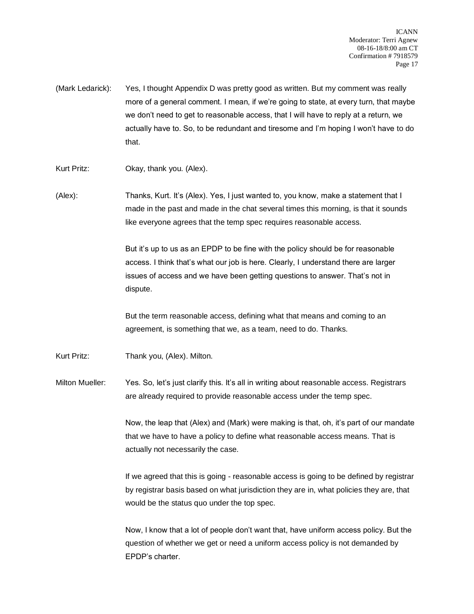- (Mark Ledarick): Yes, I thought Appendix D was pretty good as written. But my comment was really more of a general comment. I mean, if we're going to state, at every turn, that maybe we don't need to get to reasonable access, that I will have to reply at a return, we actually have to. So, to be redundant and tiresome and I'm hoping I won't have to do that.
- Kurt Pritz: Okay, thank you. (Alex).
- (Alex): Thanks, Kurt. It's (Alex). Yes, I just wanted to, you know, make a statement that I made in the past and made in the chat several times this morning, is that it sounds like everyone agrees that the temp spec requires reasonable access.

But it's up to us as an EPDP to be fine with the policy should be for reasonable access. I think that's what our job is here. Clearly, I understand there are larger issues of access and we have been getting questions to answer. That's not in dispute.

But the term reasonable access, defining what that means and coming to an agreement, is something that we, as a team, need to do. Thanks.

- Kurt Pritz: Thank you, (Alex). Milton.
- Milton Mueller: Yes. So, let's just clarify this. It's all in writing about reasonable access. Registrars are already required to provide reasonable access under the temp spec.

Now, the leap that (Alex) and (Mark) were making is that, oh, it's part of our mandate that we have to have a policy to define what reasonable access means. That is actually not necessarily the case.

If we agreed that this is going - reasonable access is going to be defined by registrar by registrar basis based on what jurisdiction they are in, what policies they are, that would be the status quo under the top spec.

Now, I know that a lot of people don't want that, have uniform access policy. But the question of whether we get or need a uniform access policy is not demanded by EPDP's charter.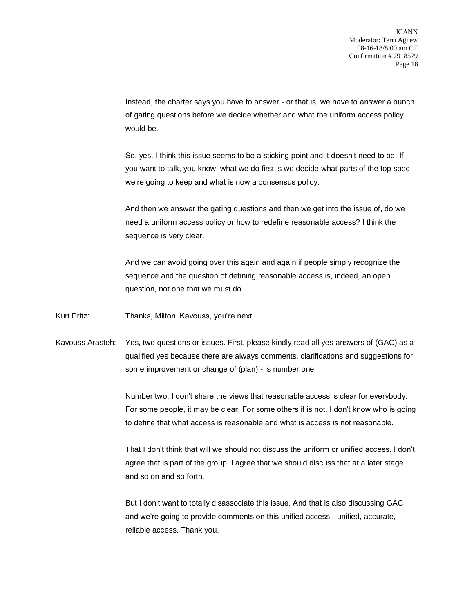Instead, the charter says you have to answer - or that is, we have to answer a bunch of gating questions before we decide whether and what the uniform access policy would be.

So, yes, I think this issue seems to be a sticking point and it doesn't need to be. If you want to talk, you know, what we do first is we decide what parts of the top spec we're going to keep and what is now a consensus policy.

And then we answer the gating questions and then we get into the issue of, do we need a uniform access policy or how to redefine reasonable access? I think the sequence is very clear.

And we can avoid going over this again and again if people simply recognize the sequence and the question of defining reasonable access is, indeed, an open question, not one that we must do.

Kurt Pritz: Thanks, Milton. Kavouss, you're next.

Kavouss Arasteh: Yes, two questions or issues. First, please kindly read all yes answers of (GAC) as a qualified yes because there are always comments, clarifications and suggestions for some improvement or change of (plan) - is number one.

> Number two, I don't share the views that reasonable access is clear for everybody. For some people, it may be clear. For some others it is not. I don't know who is going to define that what access is reasonable and what is access is not reasonable.

> That I don't think that will we should not discuss the uniform or unified access. I don't agree that is part of the group. I agree that we should discuss that at a later stage and so on and so forth.

But I don't want to totally disassociate this issue. And that is also discussing GAC and we're going to provide comments on this unified access - unified, accurate, reliable access. Thank you.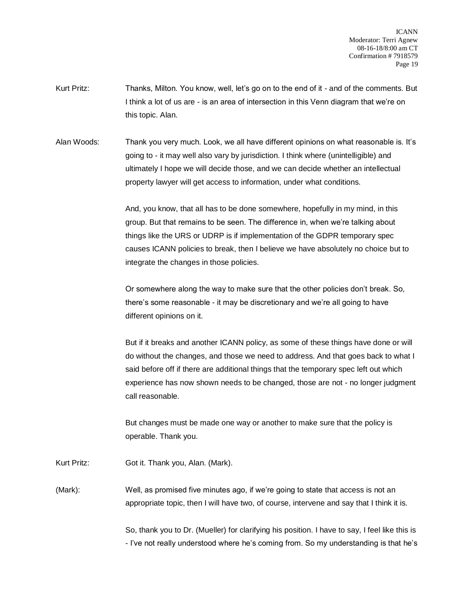ICANN Moderator: Terri Agnew 08-16-18/8:00 am CT Confirmation # 7918579 Page 19

- Kurt Pritz: Thanks, Milton. You know, well, let's go on to the end of it and of the comments. But I think a lot of us are - is an area of intersection in this Venn diagram that we're on this topic. Alan.
- Alan Woods: Thank you very much. Look, we all have different opinions on what reasonable is. It's going to - it may well also vary by jurisdiction. I think where (unintelligible) and ultimately I hope we will decide those, and we can decide whether an intellectual property lawyer will get access to information, under what conditions.

And, you know, that all has to be done somewhere, hopefully in my mind, in this group. But that remains to be seen. The difference in, when we're talking about things like the URS or UDRP is if implementation of the GDPR temporary spec causes ICANN policies to break, then I believe we have absolutely no choice but to integrate the changes in those policies.

Or somewhere along the way to make sure that the other policies don't break. So, there's some reasonable - it may be discretionary and we're all going to have different opinions on it.

But if it breaks and another ICANN policy, as some of these things have done or will do without the changes, and those we need to address. And that goes back to what I said before off if there are additional things that the temporary spec left out which experience has now shown needs to be changed, those are not - no longer judgment call reasonable.

But changes must be made one way or another to make sure that the policy is operable. Thank you.

Kurt Pritz: Got it. Thank you, Alan. (Mark).

(Mark): Well, as promised five minutes ago, if we're going to state that access is not an appropriate topic, then I will have two, of course, intervene and say that I think it is.

> So, thank you to Dr. (Mueller) for clarifying his position. I have to say, I feel like this is - I've not really understood where he's coming from. So my understanding is that he's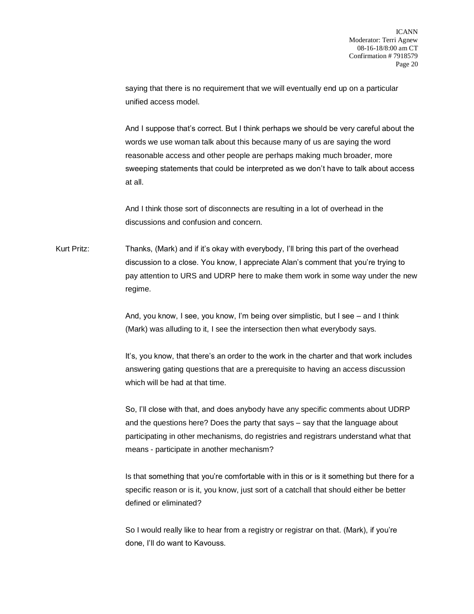saying that there is no requirement that we will eventually end up on a particular unified access model.

And I suppose that's correct. But I think perhaps we should be very careful about the words we use woman talk about this because many of us are saying the word reasonable access and other people are perhaps making much broader, more sweeping statements that could be interpreted as we don't have to talk about access at all.

And I think those sort of disconnects are resulting in a lot of overhead in the discussions and confusion and concern.

Kurt Pritz: Thanks, (Mark) and if it's okay with everybody, I'll bring this part of the overhead discussion to a close. You know, I appreciate Alan's comment that you're trying to pay attention to URS and UDRP here to make them work in some way under the new regime.

> And, you know, I see, you know, I'm being over simplistic, but I see – and I think (Mark) was alluding to it, I see the intersection then what everybody says.

It's, you know, that there's an order to the work in the charter and that work includes answering gating questions that are a prerequisite to having an access discussion which will be had at that time.

So, I'll close with that, and does anybody have any specific comments about UDRP and the questions here? Does the party that says – say that the language about participating in other mechanisms, do registries and registrars understand what that means - participate in another mechanism?

Is that something that you're comfortable with in this or is it something but there for a specific reason or is it, you know, just sort of a catchall that should either be better defined or eliminated?

So I would really like to hear from a registry or registrar on that. (Mark), if you're done, I'll do want to Kavouss.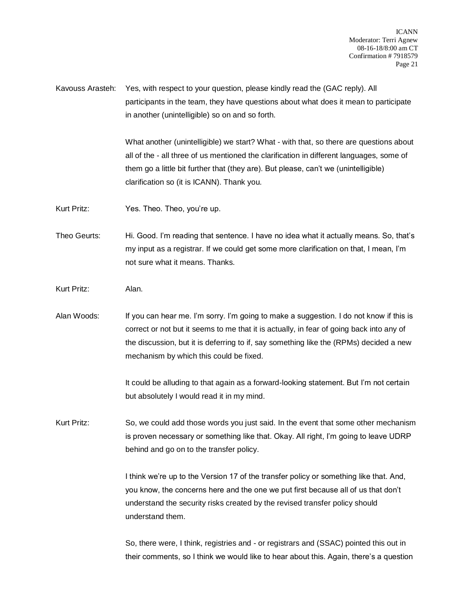Kavouss Arasteh: Yes, with respect to your question, please kindly read the (GAC reply). All participants in the team, they have questions about what does it mean to participate in another (unintelligible) so on and so forth.

> What another (unintelligible) we start? What - with that, so there are questions about all of the - all three of us mentioned the clarification in different languages, some of them go a little bit further that (they are). But please, can't we (unintelligible) clarification so (it is ICANN). Thank you.

Kurt Pritz: Yes. Theo. Theo, you're up.

Theo Geurts: Hi. Good. I'm reading that sentence. I have no idea what it actually means. So, that's my input as a registrar. If we could get some more clarification on that, I mean, I'm not sure what it means. Thanks.

- Kurt Pritz: Alan.
- Alan Woods: If you can hear me. I'm sorry. I'm going to make a suggestion. I do not know if this is correct or not but it seems to me that it is actually, in fear of going back into any of the discussion, but it is deferring to if, say something like the (RPMs) decided a new mechanism by which this could be fixed.

It could be alluding to that again as a forward-looking statement. But I'm not certain but absolutely I would read it in my mind.

Kurt Pritz: So, we could add those words you just said. In the event that some other mechanism is proven necessary or something like that. Okay. All right, I'm going to leave UDRP behind and go on to the transfer policy.

> I think we're up to the Version 17 of the transfer policy or something like that. And, you know, the concerns here and the one we put first because all of us that don't understand the security risks created by the revised transfer policy should understand them.

So, there were, I think, registries and - or registrars and (SSAC) pointed this out in their comments, so I think we would like to hear about this. Again, there's a question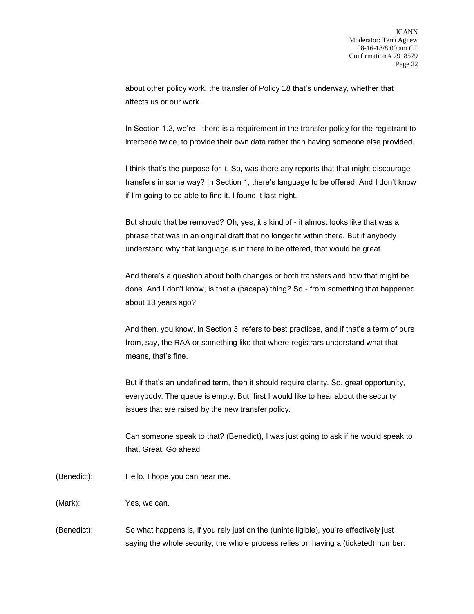about other policy work, the transfer of Policy 18 that's underway, whether that affects us or our work.

In Section 1.2, we're - there is a requirement in the transfer policy for the registrant to intercede twice, to provide their own data rather than having someone else provided.

I think that's the purpose for it. So, was there any reports that that might discourage transfers in some way? In Section 1, there's language to be offered. And I don't know if I'm going to be able to find it. I found it last night.

But should that be removed? Oh, yes, it's kind of - it almost looks like that was a phrase that was in an original draft that no longer fit within there. But if anybody understand why that language is in there to be offered, that would be great.

And there's a question about both changes or both transfers and how that might be done. And I don't know, is that a (pacapa) thing? So - from something that happened about 13 years ago?

And then, you know, in Section 3, refers to best practices, and if that's a term of ours from, say, the RAA or something like that where registrars understand what that means, that's fine.

But if that's an undefined term, then it should require clarity. So, great opportunity, everybody. The queue is empty. But, first I would like to hear about the security issues that are raised by the new transfer policy.

Can someone speak to that? (Benedict), I was just going to ask if he would speak to that. Great. Go ahead.

(Benedict): Hello. I hope you can hear me.

(Mark): Yes, we can.

(Benedict): So what happens is, if you rely just on the (unintelligible), you're effectively just saying the whole security, the whole process relies on having a (ticketed) number.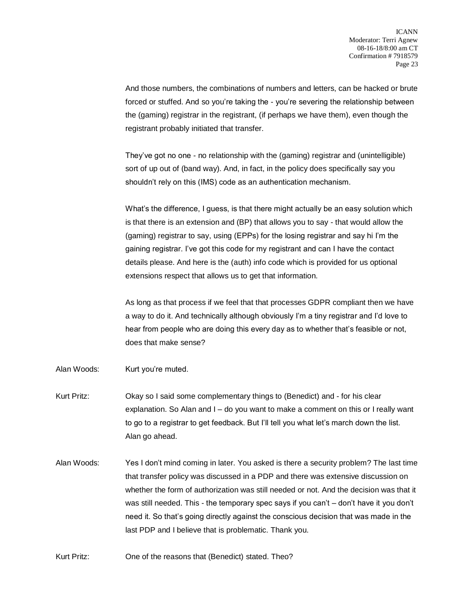And those numbers, the combinations of numbers and letters, can be hacked or brute forced or stuffed. And so you're taking the - you're severing the relationship between the (gaming) registrar in the registrant, (if perhaps we have them), even though the registrant probably initiated that transfer.

They've got no one - no relationship with the (gaming) registrar and (unintelligible) sort of up out of (band way). And, in fact, in the policy does specifically say you shouldn't rely on this (IMS) code as an authentication mechanism.

What's the difference, I guess, is that there might actually be an easy solution which is that there is an extension and (BP) that allows you to say - that would allow the (gaming) registrar to say, using (EPPs) for the losing registrar and say hi I'm the gaining registrar. I've got this code for my registrant and can I have the contact details please. And here is the (auth) info code which is provided for us optional extensions respect that allows us to get that information.

As long as that process if we feel that that processes GDPR compliant then we have a way to do it. And technically although obviously I'm a tiny registrar and I'd love to hear from people who are doing this every day as to whether that's feasible or not, does that make sense?

- Alan Woods: Kurt you're muted.
- Kurt Pritz: Okay so I said some complementary things to (Benedict) and for his clear explanation. So Alan and I – do you want to make a comment on this or I really want to go to a registrar to get feedback. But I'll tell you what let's march down the list. Alan go ahead.
- Alan Woods: Yes I don't mind coming in later. You asked is there a security problem? The last time that transfer policy was discussed in a PDP and there was extensive discussion on whether the form of authorization was still needed or not. And the decision was that it was still needed. This - the temporary spec says if you can't – don't have it you don't need it. So that's going directly against the conscious decision that was made in the last PDP and I believe that is problematic. Thank you.
- Kurt Pritz: One of the reasons that (Benedict) stated. Theo?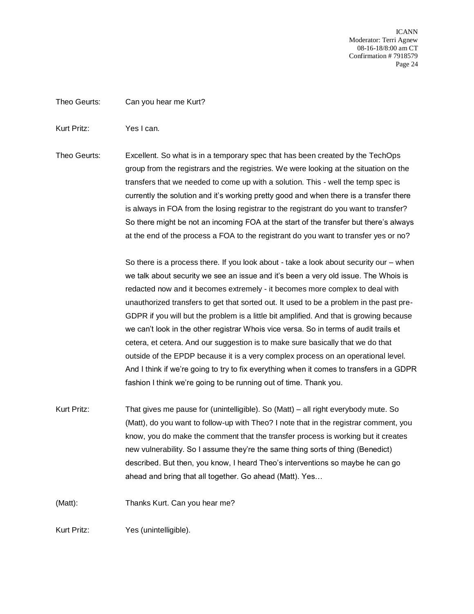ICANN Moderator: Terri Agnew 08-16-18/8:00 am CT Confirmation # 7918579 Page 24

Theo Geurts: Can you hear me Kurt?

Kurt Pritz: Yes I can.

Theo Geurts: Excellent. So what is in a temporary spec that has been created by the TechOps group from the registrars and the registries. We were looking at the situation on the transfers that we needed to come up with a solution. This - well the temp spec is currently the solution and it's working pretty good and when there is a transfer there is always in FOA from the losing registrar to the registrant do you want to transfer? So there might be not an incoming FOA at the start of the transfer but there's always at the end of the process a FOA to the registrant do you want to transfer yes or no?

> So there is a process there. If you look about - take a look about security our – when we talk about security we see an issue and it's been a very old issue. The Whois is redacted now and it becomes extremely - it becomes more complex to deal with unauthorized transfers to get that sorted out. It used to be a problem in the past pre-GDPR if you will but the problem is a little bit amplified. And that is growing because we can't look in the other registrar Whois vice versa. So in terms of audit trails et cetera, et cetera. And our suggestion is to make sure basically that we do that outside of the EPDP because it is a very complex process on an operational level. And I think if we're going to try to fix everything when it comes to transfers in a GDPR fashion I think we're going to be running out of time. Thank you.

Kurt Pritz: That gives me pause for (unintelligible). So (Matt) – all right everybody mute. So (Matt), do you want to follow-up with Theo? I note that in the registrar comment, you know, you do make the comment that the transfer process is working but it creates new vulnerability. So I assume they're the same thing sorts of thing (Benedict) described. But then, you know, I heard Theo's interventions so maybe he can go ahead and bring that all together. Go ahead (Matt). Yes…

(Matt): Thanks Kurt. Can you hear me?

Kurt Pritz: Yes (unintelligible).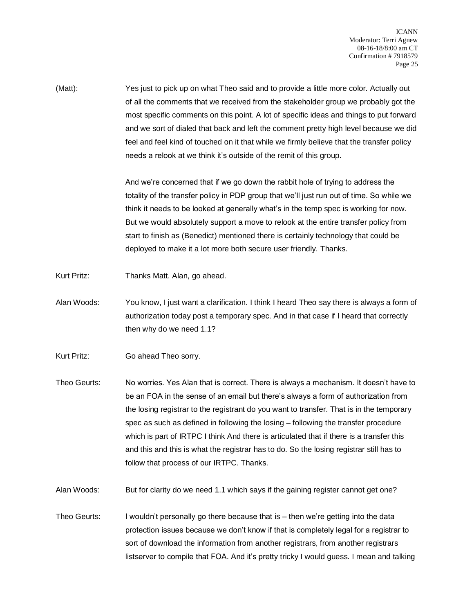(Matt): Yes just to pick up on what Theo said and to provide a little more color. Actually out of all the comments that we received from the stakeholder group we probably got the most specific comments on this point. A lot of specific ideas and things to put forward and we sort of dialed that back and left the comment pretty high level because we did feel and feel kind of touched on it that while we firmly believe that the transfer policy needs a relook at we think it's outside of the remit of this group.

> And we're concerned that if we go down the rabbit hole of trying to address the totality of the transfer policy in PDP group that we'll just run out of time. So while we think it needs to be looked at generally what's in the temp spec is working for now. But we would absolutely support a move to relook at the entire transfer policy from start to finish as (Benedict) mentioned there is certainly technology that could be deployed to make it a lot more both secure user friendly. Thanks.

- Kurt Pritz: Thanks Matt. Alan, go ahead.
- Alan Woods: You know, I just want a clarification. I think I heard Theo say there is always a form of authorization today post a temporary spec. And in that case if I heard that correctly then why do we need 1.1?
- Kurt Pritz: Go ahead Theo sorry.
- Theo Geurts: No worries. Yes Alan that is correct. There is always a mechanism. It doesn't have to be an FOA in the sense of an email but there's always a form of authorization from the losing registrar to the registrant do you want to transfer. That is in the temporary spec as such as defined in following the losing – following the transfer procedure which is part of IRTPC I think And there is articulated that if there is a transfer this and this and this is what the registrar has to do. So the losing registrar still has to follow that process of our IRTPC. Thanks.

Alan Woods: But for clarity do we need 1.1 which says if the gaining register cannot get one?

Theo Geurts: I wouldn't personally go there because that is – then we're getting into the data protection issues because we don't know if that is completely legal for a registrar to sort of download the information from another registrars, from another registrars listserver to compile that FOA. And it's pretty tricky I would guess. I mean and talking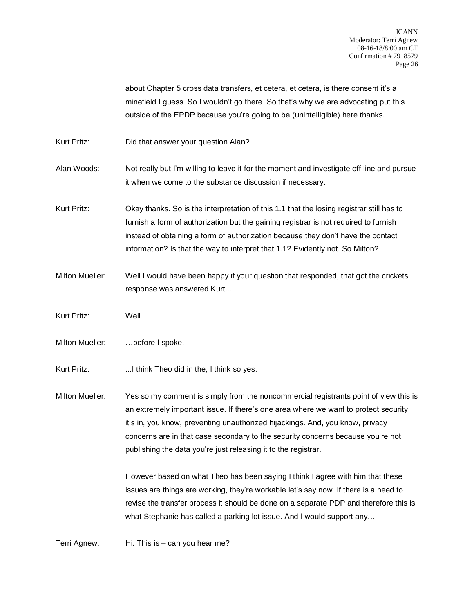about Chapter 5 cross data transfers, et cetera, et cetera, is there consent it's a minefield I guess. So I wouldn't go there. So that's why we are advocating put this outside of the EPDP because you're going to be (unintelligible) here thanks.

- Kurt Pritz: Did that answer your question Alan?
- Alan Woods: Not really but I'm willing to leave it for the moment and investigate off line and pursue it when we come to the substance discussion if necessary.
- Kurt Pritz: Okay thanks. So is the interpretation of this 1.1 that the losing registrar still has to furnish a form of authorization but the gaining registrar is not required to furnish instead of obtaining a form of authorization because they don't have the contact information? Is that the way to interpret that 1.1? Evidently not. So Milton?
- Milton Mueller: Well I would have been happy if your question that responded, that got the crickets response was answered Kurt...
- Kurt Pritz: Well…
- Milton Mueller: …before I spoke.
- Kurt Pritz: ...I think Theo did in the, I think so yes.

Milton Mueller: Yes so my comment is simply from the noncommercial registrants point of view this is an extremely important issue. If there's one area where we want to protect security it's in, you know, preventing unauthorized hijackings. And, you know, privacy concerns are in that case secondary to the security concerns because you're not publishing the data you're just releasing it to the registrar.

> However based on what Theo has been saying I think I agree with him that these issues are things are working, they're workable let's say now. If there is a need to revise the transfer process it should be done on a separate PDP and therefore this is what Stephanie has called a parking lot issue. And I would support any…

Terri Agnew: Hi. This is – can you hear me?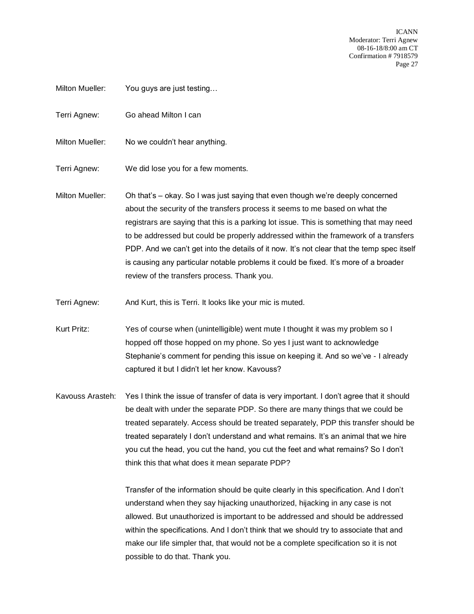ICANN Moderator: Terri Agnew 08-16-18/8:00 am CT Confirmation # 7918579 Page 27

- Milton Mueller: You guys are just testing...
- Terri Agnew: Go ahead Milton I can
- Milton Mueller: No we couldn't hear anything.
- Terri Agnew: We did lose you for a few moments.
- Milton Mueller: Oh that's okay. So I was just saying that even though we're deeply concerned about the security of the transfers process it seems to me based on what the registrars are saying that this is a parking lot issue. This is something that may need to be addressed but could be properly addressed within the framework of a transfers PDP. And we can't get into the details of it now. It's not clear that the temp spec itself is causing any particular notable problems it could be fixed. It's more of a broader review of the transfers process. Thank you.
- Terri Agnew: And Kurt, this is Terri. It looks like your mic is muted.
- Kurt Pritz: Yes of course when (unintelligible) went mute I thought it was my problem so I hopped off those hopped on my phone. So yes I just want to acknowledge Stephanie's comment for pending this issue on keeping it. And so we've - I already captured it but I didn't let her know. Kavouss?
- Kavouss Arasteh: Yes I think the issue of transfer of data is very important. I don't agree that it should be dealt with under the separate PDP. So there are many things that we could be treated separately. Access should be treated separately, PDP this transfer should be treated separately I don't understand and what remains. It's an animal that we hire you cut the head, you cut the hand, you cut the feet and what remains? So I don't think this that what does it mean separate PDP?

Transfer of the information should be quite clearly in this specification. And I don't understand when they say hijacking unauthorized, hijacking in any case is not allowed. But unauthorized is important to be addressed and should be addressed within the specifications. And I don't think that we should try to associate that and make our life simpler that, that would not be a complete specification so it is not possible to do that. Thank you.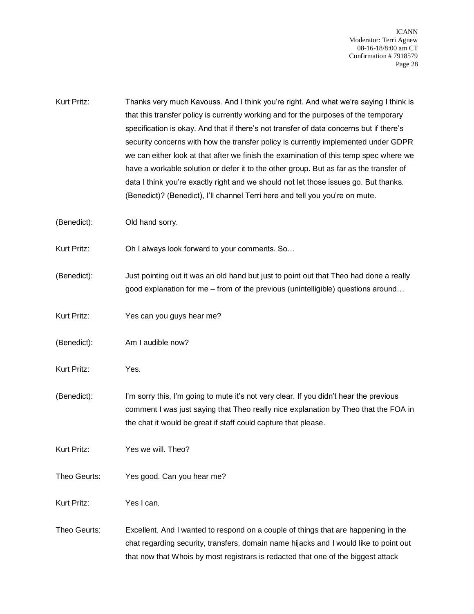ICANN Moderator: Terri Agnew 08-16-18/8:00 am CT Confirmation # 7918579 Page 28

Kurt Pritz: Thanks very much Kavouss. And I think you're right. And what we're saying I think is that this transfer policy is currently working and for the purposes of the temporary specification is okay. And that if there's not transfer of data concerns but if there's security concerns with how the transfer policy is currently implemented under GDPR we can either look at that after we finish the examination of this temp spec where we have a workable solution or defer it to the other group. But as far as the transfer of data I think you're exactly right and we should not let those issues go. But thanks. (Benedict)? (Benedict), I'll channel Terri here and tell you you're on mute.

(Benedict): Old hand sorry.

Kurt Pritz: Oh I always look forward to your comments. So…

- (Benedict): Just pointing out it was an old hand but just to point out that Theo had done a really good explanation for me – from of the previous (unintelligible) questions around…
- Kurt Pritz: Yes can you guys hear me?
- (Benedict): Am I audible now?
- Kurt Pritz: Yes.
- (Benedict): I'm sorry this, I'm going to mute it's not very clear. If you didn't hear the previous comment I was just saying that Theo really nice explanation by Theo that the FOA in the chat it would be great if staff could capture that please.
- Kurt Pritz: Yes we will. Theo?
- Theo Geurts: Yes good. Can you hear me?

Kurt Pritz: Yes I can.

Theo Geurts: Excellent. And I wanted to respond on a couple of things that are happening in the chat regarding security, transfers, domain name hijacks and I would like to point out that now that Whois by most registrars is redacted that one of the biggest attack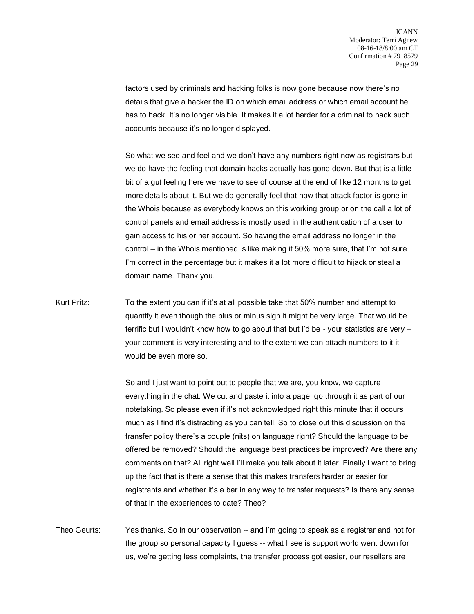factors used by criminals and hacking folks is now gone because now there's no details that give a hacker the ID on which email address or which email account he has to hack. It's no longer visible. It makes it a lot harder for a criminal to hack such accounts because it's no longer displayed.

So what we see and feel and we don't have any numbers right now as registrars but we do have the feeling that domain hacks actually has gone down. But that is a little bit of a gut feeling here we have to see of course at the end of like 12 months to get more details about it. But we do generally feel that now that attack factor is gone in the Whois because as everybody knows on this working group or on the call a lot of control panels and email address is mostly used in the authentication of a user to gain access to his or her account. So having the email address no longer in the control – in the Whois mentioned is like making it 50% more sure, that I'm not sure I'm correct in the percentage but it makes it a lot more difficult to hijack or steal a domain name. Thank you.

Kurt Pritz: To the extent you can if it's at all possible take that 50% number and attempt to quantify it even though the plus or minus sign it might be very large. That would be terrific but I wouldn't know how to go about that but I'd be - your statistics are very – your comment is very interesting and to the extent we can attach numbers to it it would be even more so.

> So and I just want to point out to people that we are, you know, we capture everything in the chat. We cut and paste it into a page, go through it as part of our notetaking. So please even if it's not acknowledged right this minute that it occurs much as I find it's distracting as you can tell. So to close out this discussion on the transfer policy there's a couple (nits) on language right? Should the language to be offered be removed? Should the language best practices be improved? Are there any comments on that? All right well I'll make you talk about it later. Finally I want to bring up the fact that is there a sense that this makes transfers harder or easier for registrants and whether it's a bar in any way to transfer requests? Is there any sense of that in the experiences to date? Theo?

Theo Geurts: Yes thanks. So in our observation -- and I'm going to speak as a registrar and not for the group so personal capacity I guess -- what I see is support world went down for us, we're getting less complaints, the transfer process got easier, our resellers are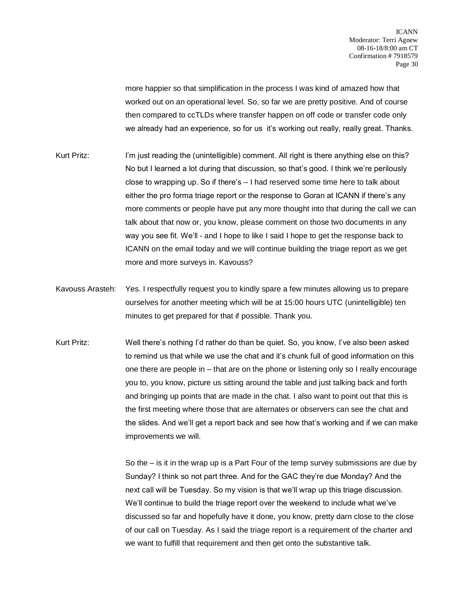more happier so that simplification in the process I was kind of amazed how that worked out on an operational level. So, so far we are pretty positive. And of course then compared to ccTLDs where transfer happen on off code or transfer code only we already had an experience, so for us it's working out really, really great. Thanks.

- Kurt Pritz: I'm just reading the (unintelligible) comment. All right is there anything else on this? No but I learned a lot during that discussion, so that's good. I think we're perilously close to wrapping up. So if there's – I had reserved some time here to talk about either the pro forma triage report or the response to Goran at ICANN if there's any more comments or people have put any more thought into that during the call we can talk about that now or, you know, please comment on those two documents in any way you see fit. We'll - and I hope to like I said I hope to get the response back to ICANN on the email today and we will continue building the triage report as we get more and more surveys in. Kavouss?
- Kavouss Arasteh: Yes. I respectfully request you to kindly spare a few minutes allowing us to prepare ourselves for another meeting which will be at 15:00 hours UTC (unintelligible) ten minutes to get prepared for that if possible. Thank you.
- Kurt Pritz: Well there's nothing I'd rather do than be quiet. So, you know, I've also been asked to remind us that while we use the chat and it's chunk full of good information on this one there are people in – that are on the phone or listening only so I really encourage you to, you know, picture us sitting around the table and just talking back and forth and bringing up points that are made in the chat. I also want to point out that this is the first meeting where those that are alternates or observers can see the chat and the slides. And we'll get a report back and see how that's working and if we can make improvements we will.

So the – is it in the wrap up is a Part Four of the temp survey submissions are due by Sunday? I think so not part three. And for the GAC they're due Monday? And the next call will be Tuesday. So my vision is that we'll wrap up this triage discussion. We'll continue to build the triage report over the weekend to include what we've discussed so far and hopefully have it done, you know, pretty darn close to the close of our call on Tuesday. As I said the triage report is a requirement of the charter and we want to fulfill that requirement and then get onto the substantive talk.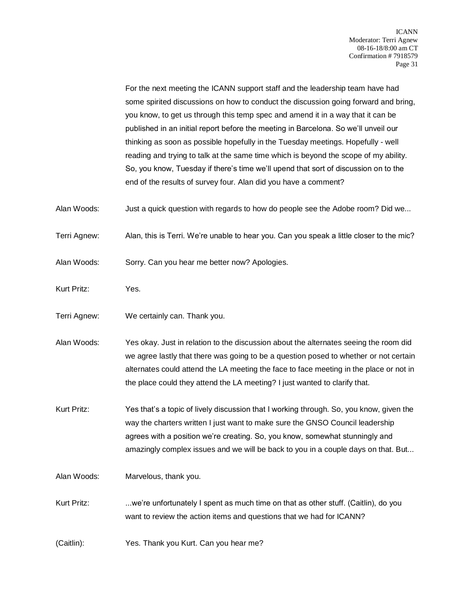For the next meeting the ICANN support staff and the leadership team have had some spirited discussions on how to conduct the discussion going forward and bring, you know, to get us through this temp spec and amend it in a way that it can be published in an initial report before the meeting in Barcelona. So we'll unveil our thinking as soon as possible hopefully in the Tuesday meetings. Hopefully - well reading and trying to talk at the same time which is beyond the scope of my ability. So, you know, Tuesday if there's time we'll upend that sort of discussion on to the end of the results of survey four. Alan did you have a comment?

Alan Woods: Just a quick question with regards to how do people see the Adobe room? Did we...

Terri Agnew: Alan, this is Terri. We're unable to hear you. Can you speak a little closer to the mic?

Alan Woods: Sorry. Can you hear me better now? Apologies.

- Kurt Pritz: Yes.
- Terri Agnew: We certainly can. Thank you.

Alan Woods: Yes okay. Just in relation to the discussion about the alternates seeing the room did we agree lastly that there was going to be a question posed to whether or not certain alternates could attend the LA meeting the face to face meeting in the place or not in the place could they attend the LA meeting? I just wanted to clarify that.

Kurt Pritz: Yes that's a topic of lively discussion that I working through. So, you know, given the way the charters written I just want to make sure the GNSO Council leadership agrees with a position we're creating. So, you know, somewhat stunningly and amazingly complex issues and we will be back to you in a couple days on that. But...

Alan Woods: Marvelous, thank you.

Kurt Pritz: ...we're unfortunately I spent as much time on that as other stuff. (Caitlin), do you want to review the action items and questions that we had for ICANN?

(Caitlin): Yes. Thank you Kurt. Can you hear me?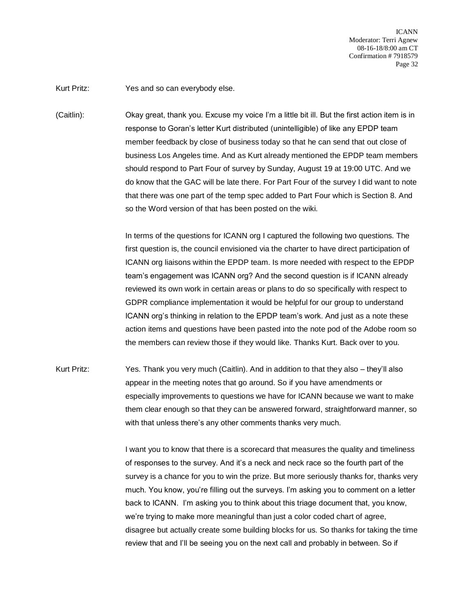ICANN Moderator: Terri Agnew 08-16-18/8:00 am CT Confirmation # 7918579 Page 32

Kurt Pritz: Yes and so can everybody else.

(Caitlin): Okay great, thank you. Excuse my voice I'm a little bit ill. But the first action item is in response to Goran's letter Kurt distributed (unintelligible) of like any EPDP team member feedback by close of business today so that he can send that out close of business Los Angeles time. And as Kurt already mentioned the EPDP team members should respond to Part Four of survey by Sunday, August 19 at 19:00 UTC. And we do know that the GAC will be late there. For Part Four of the survey I did want to note that there was one part of the temp spec added to Part Four which is Section 8. And so the Word version of that has been posted on the wiki.

> In terms of the questions for ICANN org I captured the following two questions. The first question is, the council envisioned via the charter to have direct participation of ICANN org liaisons within the EPDP team. Is more needed with respect to the EPDP team's engagement was ICANN org? And the second question is if ICANN already reviewed its own work in certain areas or plans to do so specifically with respect to GDPR compliance implementation it would be helpful for our group to understand ICANN org's thinking in relation to the EPDP team's work. And just as a note these action items and questions have been pasted into the note pod of the Adobe room so the members can review those if they would like. Thanks Kurt. Back over to you.

Kurt Pritz: Yes. Thank you very much (Caitlin). And in addition to that they also – they'll also appear in the meeting notes that go around. So if you have amendments or especially improvements to questions we have for ICANN because we want to make them clear enough so that they can be answered forward, straightforward manner, so with that unless there's any other comments thanks very much.

> I want you to know that there is a scorecard that measures the quality and timeliness of responses to the survey. And it's a neck and neck race so the fourth part of the survey is a chance for you to win the prize. But more seriously thanks for, thanks very much. You know, you're filling out the surveys. I'm asking you to comment on a letter back to ICANN. I'm asking you to think about this triage document that, you know, we're trying to make more meaningful than just a color coded chart of agree, disagree but actually create some building blocks for us. So thanks for taking the time review that and I'll be seeing you on the next call and probably in between. So if